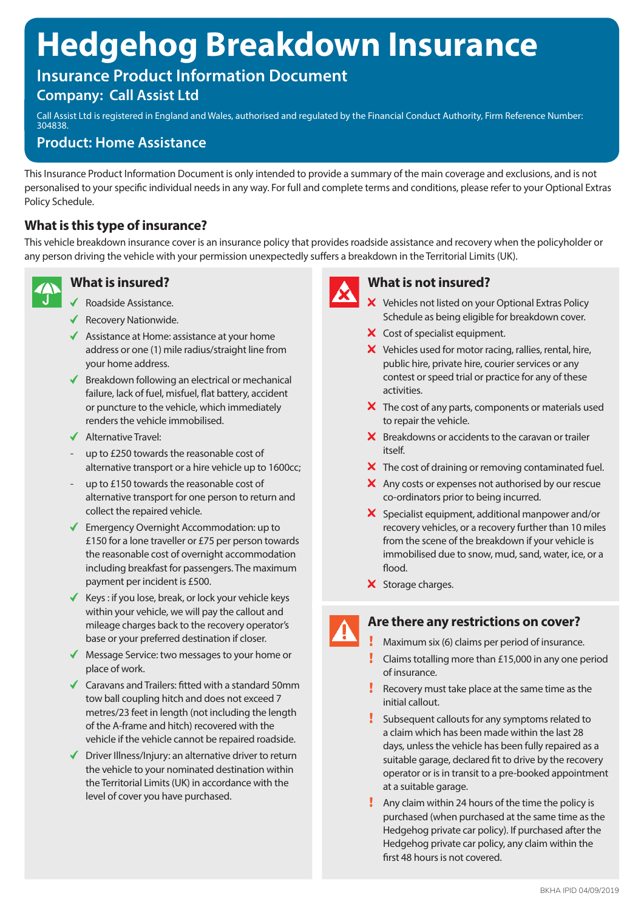# **Hedgehog Breakdown Insurance**

## **Insurance Product Information Document**

## **Company: Call Assist Ltd**

Call Assist Ltd is registered in England and Wales, authorised and regulated by the Financial Conduct Authority, Firm Reference Number: 304838.

## **Product: Home Assistance**

This Insurance Product Information Document is only intended to provide a summary of the main coverage and exclusions, and is not personalised to your specific individual needs in any way. For full and complete terms and conditions, please refer to your Optional Extras Policy Schedule.

## **What is this type of insurance?**

This vehicle breakdown insurance cover is an insurance policy that provides roadside assistance and recovery when the policyholder or any person driving the vehicle with your permission unexpectedly suffers a breakdown in the Territorial Limits (UK).



## **What is insured?**

- ◆ Roadside Assistance.
- $\blacklozenge$  Recovery Nationwide.
- $\triangleleft$  Assistance at Home: assistance at your home address or one (1) mile radius/straight line from your home address.
- $\blacklozenge$  Breakdown following an electrical or mechanical failure, lack of fuel, misfuel, flat battery, accident or puncture to the vehicle, which immediately renders the vehicle immobilised.
- ◆ Alternative Travel:
- up to £250 towards the reasonable cost of alternative transport or a hire vehicle up to 1600cc;
- up to £150 towards the reasonable cost of alternative transport for one person to return and collect the repaired vehicle.
- $\checkmark$  Emergency Overnight Accommodation: up to £150 for a lone traveller or £75 per person towards the reasonable cost of overnight accommodation including breakfast for passengers. The maximum payment per incident is £500.
- $\checkmark$  Keys: if you lose, break, or lock your vehicle keys within your vehicle, we will pay the callout and mileage charges back to the recovery operator's base or your preferred destination if closer.
- ◆ Message Service: two messages to your home or place of work.
- $\triangleleft$  Caravans and Trailers: fitted with a standard 50mm tow ball coupling hitch and does not exceed 7 metres/23 feet in length (not including the length of the A-frame and hitch) recovered with the vehicle if the vehicle cannot be repaired roadside.
- $\triangledown$  Driver Illness/Injury: an alternative driver to return the vehicle to your nominated destination within the Territorial Limits (UK) in accordance with the level of cover you have purchased.



## **What is not insured?**

- X Vehicles not listed on your Optional Extras Policy Schedule as being eligible for breakdown cover.
- X Cost of specialist equipment.
- Vehicles used for motor racing, rallies, rental, hire, public hire, private hire, courier services or any contest or speed trial or practice for any of these activities.
- $\boldsymbol{\times}$  The cost of any parts, components or materials used to repair the vehicle.
- $\boldsymbol{\times}$  Breakdowns or accidents to the caravan or trailer itself.
- $\boldsymbol{\times}$  The cost of draining or removing contaminated fuel.
- X Any costs or expenses not authorised by our rescue co-ordinators prior to being incurred.
- $\boldsymbol{\times}$  Specialist equipment, additional manpower and/or recovery vehicles, or a recovery further than 10 miles from the scene of the breakdown if your vehicle is immobilised due to snow, mud, sand, water, ice, or a flood.
- X Storage charges.

## **Are there any restrictions on cover?**

- Maximum six (6) claims per period of insurance.
- Claims totalling more than £15,000 in any one period of insurance.
- Recovery must take place at the same time as the initial callout.
- Subsequent callouts for any symptoms related to a claim which has been made within the last 28 days, unless the vehicle has been fully repaired as a suitable garage, declared fit to drive by the recovery operator or is in transit to a pre-booked appointment at a suitable garage.
- Any claim within 24 hours of the time the policy is purchased (when purchased at the same time as the Hedgehog private car policy). If purchased after the Hedgehog private car policy, any claim within the first 48 hours is not covered.